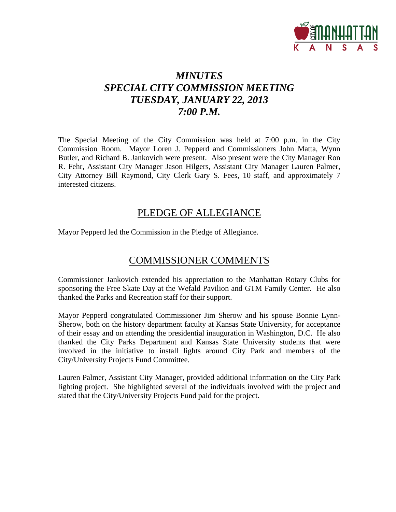

# *MINUTES SPECIAL CITY COMMISSION MEETING TUESDAY, JANUARY 22, 2013 7:00 P.M.*

The Special Meeting of the City Commission was held at 7:00 p.m. in the City Commission Room. Mayor Loren J. Pepperd and Commissioners John Matta, Wynn Butler, and Richard B. Jankovich were present. Also present were the City Manager Ron R. Fehr, Assistant City Manager Jason Hilgers, Assistant City Manager Lauren Palmer, City Attorney Bill Raymond, City Clerk Gary S. Fees, 10 staff, and approximately 7 interested citizens.

# PLEDGE OF ALLEGIANCE

Mayor Pepperd led the Commission in the Pledge of Allegiance.

# COMMISSIONER COMMENTS

Commissioner Jankovich extended his appreciation to the Manhattan Rotary Clubs for sponsoring the Free Skate Day at the Wefald Pavilion and GTM Family Center. He also thanked the Parks and Recreation staff for their support.

Mayor Pepperd congratulated Commissioner Jim Sherow and his spouse Bonnie Lynn-Sherow, both on the history department faculty at Kansas State University, for acceptance of their essay and on attending the presidential inauguration in Washington, D.C. He also thanked the City Parks Department and Kansas State University students that were involved in the initiative to install lights around City Park and members of the City/University Projects Fund Committee.

Lauren Palmer, Assistant City Manager, provided additional information on the City Park lighting project. She highlighted several of the individuals involved with the project and stated that the City/University Projects Fund paid for the project.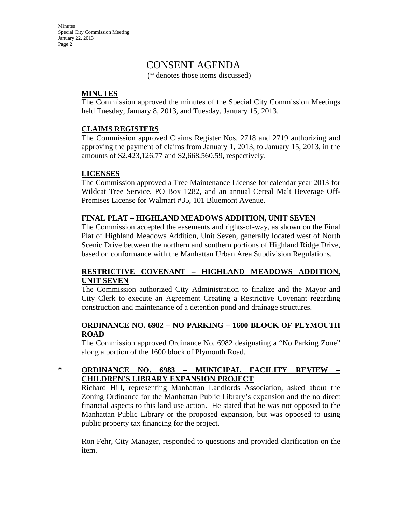Minutes Special City Commission Meeting January 22, 2013 Page 2

# CONSENT AGENDA

(\* denotes those items discussed)

# **MINUTES**

The Commission approved the minutes of the Special City Commission Meetings held Tuesday, January 8, 2013, and Tuesday, January 15, 2013.

# **CLAIMS REGISTERS**

The Commission approved Claims Register Nos. 2718 and 2719 authorizing and approving the payment of claims from January 1, 2013, to January 15, 2013, in the amounts of \$2,423,126.77 and \$2,668,560.59, respectively.

# **LICENSES**

The Commission approved a Tree Maintenance License for calendar year 2013 for Wildcat Tree Service, PO Box 1282, and an annual Cereal Malt Beverage Off-Premises License for Walmart #35, 101 Bluemont Avenue.

# **FINAL PLAT – HIGHLAND MEADOWS ADDITION, UNIT SEVEN**

The Commission accepted the easements and rights-of-way, as shown on the Final Plat of Highland Meadows Addition, Unit Seven, generally located west of North Scenic Drive between the northern and southern portions of Highland Ridge Drive, based on conformance with the Manhattan Urban Area Subdivision Regulations.

# **RESTRICTIVE COVENANT – HIGHLAND MEADOWS ADDITION, UNIT SEVEN**

The Commission authorized City Administration to finalize and the Mayor and City Clerk to execute an Agreement Creating a Restrictive Covenant regarding construction and maintenance of a detention pond and drainage structures.

# **ORDINANCE NO. 6982 – NO PARKING – 1600 BLOCK OF PLYMOUTH ROAD**

The Commission approved Ordinance No. 6982 designating a "No Parking Zone" along a portion of the 1600 block of Plymouth Road.

# **\* ORDINANCE NO. 6983 – MUNICIPAL FACILITY REVIEW – CHILDREN'S LIBRARY EXPANSION PROJECT**

Richard Hill, representing Manhattan Landlords Association, asked about the Zoning Ordinance for the Manhattan Public Library's expansion and the no direct financial aspects to this land use action. He stated that he was not opposed to the Manhattan Public Library or the proposed expansion, but was opposed to using public property tax financing for the project.

Ron Fehr, City Manager, responded to questions and provided clarification on the item.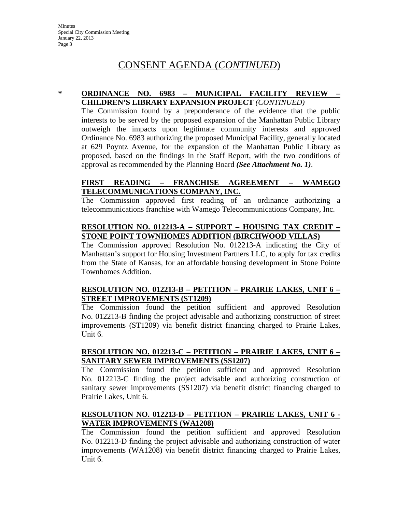# CONSENT AGENDA (*CONTINUED*)

# **\* ORDINANCE NO. 6983 – MUNICIPAL FACILITY REVIEW – CHILDREN'S LIBRARY EXPANSION PROJECT** *(CONTINUED)*

The Commission found by a preponderance of the evidence that the public interests to be served by the proposed expansion of the Manhattan Public Library outweigh the impacts upon legitimate community interests and approved Ordinance No. 6983 authorizing the proposed Municipal Facility, generally located at 629 Poyntz Avenue, for the expansion of the Manhattan Public Library as proposed, based on the findings in the Staff Report, with the two conditions of approval as recommended by the Planning Board *(See Attachment No. 1)*.

# **FIRST READING – FRANCHISE AGREEMENT – WAMEGO TELECOMMUNICATIONS COMPANY, INC.**

The Commission approved first reading of an ordinance authorizing a telecommunications franchise with Wamego Telecommunications Company, Inc.

# **RESOLUTION NO. 012213-A – SUPPORT – HOUSING TAX CREDIT – STONE POINT TOWNHOMES ADDITION (BIRCHWOOD VILLAS)**

The Commission approved Resolution No. 012213-A indicating the City of Manhattan's support for Housing Investment Partners LLC, to apply for tax credits from the State of Kansas, for an affordable housing development in Stone Pointe Townhomes Addition.

# **RESOLUTION NO. 012213-B – PETITION – PRAIRIE LAKES, UNIT 6 – STREET IMPROVEMENTS (ST1209)**

The Commission found the petition sufficient and approved Resolution No. 012213-B finding the project advisable and authorizing construction of street improvements (ST1209) via benefit district financing charged to Prairie Lakes, Unit 6.

# **RESOLUTION NO. 012213-C – PETITION – PRAIRIE LAKES, UNIT 6 – SANITARY SEWER IMPROVEMENTS (SS1207)**

The Commission found the petition sufficient and approved Resolution No. 012213-C finding the project advisable and authorizing construction of sanitary sewer improvements (SS1207) via benefit district financing charged to Prairie Lakes, Unit 6.

# **RESOLUTION NO. 012213-D – PETITION – PRAIRIE LAKES, UNIT 6 - WATER IMPROVEMENTS (WA1208)**

The Commission found the petition sufficient and approved Resolution No. 012213-D finding the project advisable and authorizing construction of water improvements (WA1208) via benefit district financing charged to Prairie Lakes, Unit 6.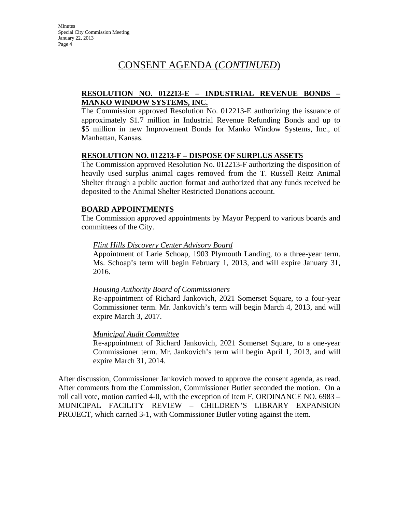# CONSENT AGENDA (*CONTINUED*)

# **RESOLUTION NO. 012213-E – INDUSTRIAL REVENUE BONDS – MANKO WINDOW SYSTEMS, INC.**

The Commission approved Resolution No. 012213-E authorizing the issuance of approximately \$1.7 million in Industrial Revenue Refunding Bonds and up to \$5 million in new Improvement Bonds for Manko Window Systems, Inc., of Manhattan, Kansas.

### **RESOLUTION NO. 012213-F – DISPOSE OF SURPLUS ASSETS**

The Commission approved Resolution No. 012213-F authorizing the disposition of heavily used surplus animal cages removed from the T. Russell Reitz Animal Shelter through a public auction format and authorized that any funds received be deposited to the Animal Shelter Restricted Donations account.

# **BOARD APPOINTMENTS**

The Commission approved appointments by Mayor Pepperd to various boards and committees of the City.

# *Flint Hills Discovery Center Advisory Board*

Appointment of Larie Schoap, 1903 Plymouth Landing, to a three-year term. Ms. Schoap's term will begin February 1, 2013, and will expire January 31, 2016.

### *Housing Authority Board of Commissioners*

Re-appointment of Richard Jankovich, 2021 Somerset Square, to a four-year Commissioner term. Mr. Jankovich's term will begin March 4, 2013, and will expire March 3, 2017.

### *Municipal Audit Committee*

Re-appointment of Richard Jankovich, 2021 Somerset Square, to a one-year Commissioner term. Mr. Jankovich's term will begin April 1, 2013, and will expire March 31, 2014.

After discussion, Commissioner Jankovich moved to approve the consent agenda, as read. After comments from the Commission, Commissioner Butler seconded the motion. On a roll call vote, motion carried 4-0, with the exception of Item F, ORDINANCE NO. 6983 – MUNICIPAL FACILITY REVIEW – CHILDREN'S LIBRARY EXPANSION PROJECT, which carried 3-1, with Commissioner Butler voting against the item.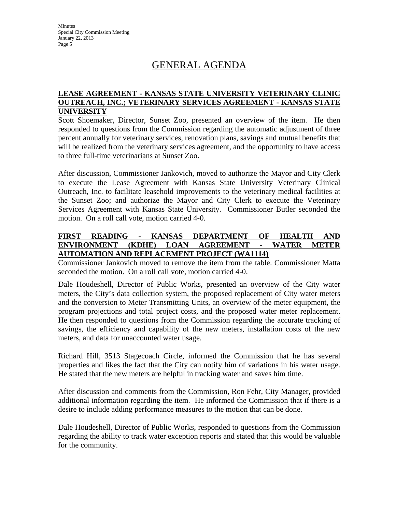Minutes Special City Commission Meeting January 22, 2013 Page 5

# GENERAL AGENDA

# **LEASE AGREEMENT - KANSAS STATE UNIVERSITY VETERINARY CLINIC OUTREACH, INC.; VETERINARY SERVICES AGREEMENT - KANSAS STATE UNIVERSITY**

Scott Shoemaker, Director, Sunset Zoo, presented an overview of the item. He then responded to questions from the Commission regarding the automatic adjustment of three percent annually for veterinary services, renovation plans, savings and mutual benefits that will be realized from the veterinary services agreement, and the opportunity to have access to three full-time veterinarians at Sunset Zoo.

After discussion, Commissioner Jankovich, moved to authorize the Mayor and City Clerk to execute the Lease Agreement with Kansas State University Veterinary Clinical Outreach, Inc. to facilitate leasehold improvements to the veterinary medical facilities at the Sunset Zoo; and authorize the Mayor and City Clerk to execute the Veterinary Services Agreement with Kansas State University. Commissioner Butler seconded the motion. On a roll call vote, motion carried 4-0.

# **FIRST READING - KANSAS DEPARTMENT OF HEALTH AND ENVIRONMENT (KDHE) LOAN AGREEMENT - WATER METER AUTOMATION AND REPLACEMENT PROJECT (WA1114)**

Commissioner Jankovich moved to remove the item from the table. Commissioner Matta seconded the motion. On a roll call vote, motion carried 4-0.

Dale Houdeshell, Director of Public Works, presented an overview of the City water meters, the City's data collection system, the proposed replacement of City water meters and the conversion to Meter Transmitting Units, an overview of the meter equipment, the program projections and total project costs, and the proposed water meter replacement. He then responded to questions from the Commission regarding the accurate tracking of savings, the efficiency and capability of the new meters, installation costs of the new meters, and data for unaccounted water usage.

Richard Hill, 3513 Stagecoach Circle, informed the Commission that he has several properties and likes the fact that the City can notify him of variations in his water usage. He stated that the new meters are helpful in tracking water and saves him time.

After discussion and comments from the Commission, Ron Fehr, City Manager, provided additional information regarding the item. He informed the Commission that if there is a desire to include adding performance measures to the motion that can be done.

Dale Houdeshell, Director of Public Works, responded to questions from the Commission regarding the ability to track water exception reports and stated that this would be valuable for the community.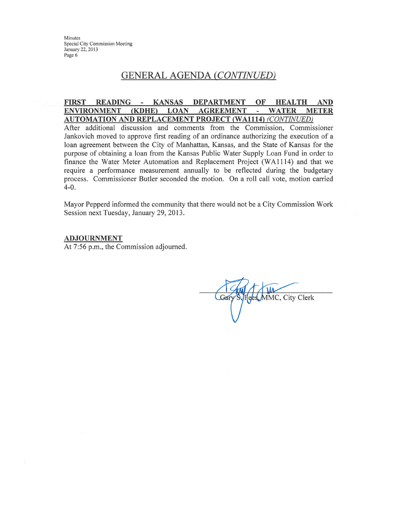Minutes Special City Commission Meeting January 22, 2013 Page 6

# **GENERAL AGENDA (CONTINUED)**

### **KANSAS DEPARTMENT FIRST READING** OF **HEALTH**  $\sim$ **AND ENVIRONMENT** (KDHE) **LOAN AGREEMENT WATER METER** ä, **AUTOMATION AND REPLACEMENT PROJECT (WA1114) (CONTINUED)**

After additional discussion and comments from the Commission, Commissioner Jankovich moved to approve first reading of an ordinance authorizing the execution of a loan agreement between the City of Manhattan, Kansas, and the State of Kansas for the purpose of obtaining a loan from the Kansas Public Water Supply Loan Fund in order to finance the Water Meter Automation and Replacement Project (WA1114) and that we require a performance measurement annually to be reflected during the budgetary process. Commissioner Butler seconded the motion. On a roll call vote, motion carried  $4 - 0.$ 

Mayor Pepperd informed the community that there would not be a City Commission Work Session next Tuesday, January 29, 2013.

### **ADJOURNMENT**

At 7:56 p.m., the Commission adjourned.

Gar MMC, City Clerk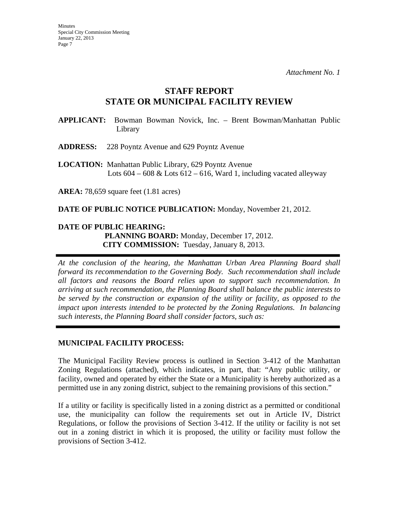# **STAFF REPORT STATE OR MUNICIPAL FACILITY REVIEW**

**APPLICANT:** Bowman Bowman Novick, Inc. – Brent Bowman/Manhattan Public Library

**ADDRESS:** 228 Poyntz Avenue and 629 Poyntz Avenue

**LOCATION:** Manhattan Public Library, 629 Poyntz Avenue Lots  $604 - 608 \&$  Lots  $612 - 616$ , Ward 1, including vacated alleyway

**AREA:** 78,659 square feet (1.81 acres)

**DATE OF PUBLIC NOTICE PUBLICATION:** Monday, November 21, 2012.

# **DATE OF PUBLIC HEARING: PLANNING BOARD:** Monday, December 17, 2012. **CITY COMMISSION:** Tuesday, January 8, 2013.

*At the conclusion of the hearing, the Manhattan Urban Area Planning Board shall forward its recommendation to the Governing Body. Such recommendation shall include all factors and reasons the Board relies upon to support such recommendation. In arriving at such recommendation, the Planning Board shall balance the public interests to be served by the construction or expansion of the utility or facility, as opposed to the impact upon interests intended to be protected by the Zoning Regulations. In balancing such interests, the Planning Board shall consider factors, such as:* 

# **MUNICIPAL FACILITY PROCESS:**

The Municipal Facility Review process is outlined in Section 3-412 of the Manhattan Zoning Regulations (attached), which indicates, in part, that: "Any public utility, or facility, owned and operated by either the State or a Municipality is hereby authorized as a permitted use in any zoning district, subject to the remaining provisions of this section."

If a utility or facility is specifically listed in a zoning district as a permitted or conditional use, the municipality can follow the requirements set out in Article IV, District Regulations, or follow the provisions of Section 3-412. If the utility or facility is not set out in a zoning district in which it is proposed, the utility or facility must follow the provisions of Section 3-412.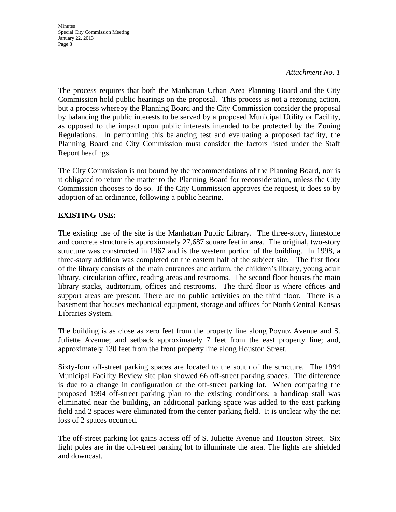**Minutes** Special City Commission Meeting January 22, 2013 Page 8

*Attachment No. 1* 

The process requires that both the Manhattan Urban Area Planning Board and the City Commission hold public hearings on the proposal. This process is not a rezoning action, but a process whereby the Planning Board and the City Commission consider the proposal by balancing the public interests to be served by a proposed Municipal Utility or Facility, as opposed to the impact upon public interests intended to be protected by the Zoning Regulations. In performing this balancing test and evaluating a proposed facility, the Planning Board and City Commission must consider the factors listed under the Staff Report headings.

The City Commission is not bound by the recommendations of the Planning Board, nor is it obligated to return the matter to the Planning Board for reconsideration, unless the City Commission chooses to do so. If the City Commission approves the request, it does so by adoption of an ordinance, following a public hearing.

# **EXISTING USE:**

The existing use of the site is the Manhattan Public Library. The three-story, limestone and concrete structure is approximately 27,687 square feet in area. The original, two-story structure was constructed in 1967 and is the western portion of the building. In 1998, a three-story addition was completed on the eastern half of the subject site. The first floor of the library consists of the main entrances and atrium, the children's library, young adult library, circulation office, reading areas and restrooms. The second floor houses the main library stacks, auditorium, offices and restrooms. The third floor is where offices and support areas are present. There are no public activities on the third floor. There is a basement that houses mechanical equipment, storage and offices for North Central Kansas Libraries System.

The building is as close as zero feet from the property line along Poyntz Avenue and S. Juliette Avenue; and setback approximately 7 feet from the east property line; and, approximately 130 feet from the front property line along Houston Street.

Sixty-four off-street parking spaces are located to the south of the structure. The 1994 Municipal Facility Review site plan showed 66 off-street parking spaces. The difference is due to a change in configuration of the off-street parking lot. When comparing the proposed 1994 off-street parking plan to the existing conditions; a handicap stall was eliminated near the building, an additional parking space was added to the east parking field and 2 spaces were eliminated from the center parking field. It is unclear why the net loss of 2 spaces occurred.

The off-street parking lot gains access off of S. Juliette Avenue and Houston Street. Six light poles are in the off-street parking lot to illuminate the area. The lights are shielded and downcast.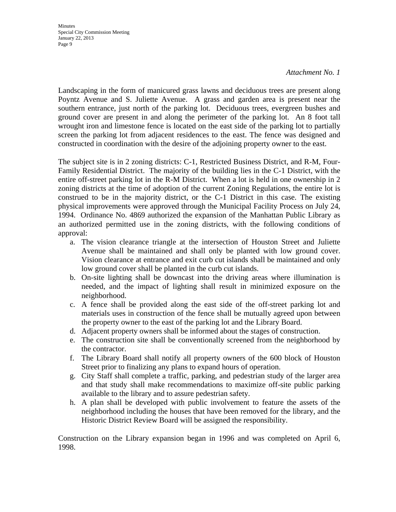Minutes Special City Commission Meeting January 22, 2013 Page 9

### *Attachment No. 1*

Landscaping in the form of manicured grass lawns and deciduous trees are present along Poyntz Avenue and S. Juliette Avenue. A grass and garden area is present near the southern entrance, just north of the parking lot. Deciduous trees, evergreen bushes and ground cover are present in and along the perimeter of the parking lot. An 8 foot tall wrought iron and limestone fence is located on the east side of the parking lot to partially screen the parking lot from adjacent residences to the east. The fence was designed and constructed in coordination with the desire of the adjoining property owner to the east.

The subject site is in 2 zoning districts: C-1, Restricted Business District, and R-M, Four-Family Residential District. The majority of the building lies in the C-1 District, with the entire off-street parking lot in the R-M District. When a lot is held in one ownership in 2 zoning districts at the time of adoption of the current Zoning Regulations, the entire lot is construed to be in the majority district, or the C-1 District in this case. The existing physical improvements were approved through the Municipal Facility Process on July 24, 1994. Ordinance No. 4869 authorized the expansion of the Manhattan Public Library as an authorized permitted use in the zoning districts, with the following conditions of approval:

- a. The vision clearance triangle at the intersection of Houston Street and Juliette Avenue shall be maintained and shall only be planted with low ground cover. Vision clearance at entrance and exit curb cut islands shall be maintained and only low ground cover shall be planted in the curb cut islands.
- b. On-site lighting shall be downcast into the driving areas where illumination is needed, and the impact of lighting shall result in minimized exposure on the neighborhood.
- c. A fence shall be provided along the east side of the off-street parking lot and materials uses in construction of the fence shall be mutually agreed upon between the property owner to the east of the parking lot and the Library Board.
- d. Adjacent property owners shall be informed about the stages of construction.
- e. The construction site shall be conventionally screened from the neighborhood by the contractor.
- f. The Library Board shall notify all property owners of the 600 block of Houston Street prior to finalizing any plans to expand hours of operation.
- g. City Staff shall complete a traffic, parking, and pedestrian study of the larger area and that study shall make recommendations to maximize off-site public parking available to the library and to assure pedestrian safety.
- h. A plan shall be developed with public involvement to feature the assets of the neighborhood including the houses that have been removed for the library, and the Historic District Review Board will be assigned the responsibility.

Construction on the Library expansion began in 1996 and was completed on April 6, 1998.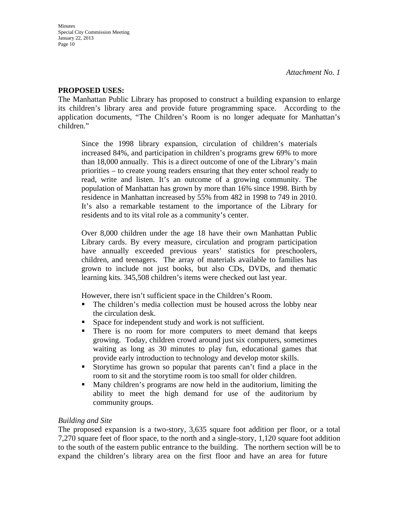# **PROPOSED USES:**

The Manhattan Public Library has proposed to construct a building expansion to enlarge its children's library area and provide future programming space. According to the application documents, "The Children's Room is no longer adequate for Manhattan's children."

Since the 1998 library expansion, circulation of children's materials increased 84%, and participation in children's programs grew 69% to more than 18,000 annually. This is a direct outcome of one of the Library's main priorities – to create young readers ensuring that they enter school ready to read, write and listen. It's an outcome of a growing community. The population of Manhattan has grown by more than 16% since 1998. Birth by residence in Manhattan increased by 55% from 482 in 1998 to 749 in 2010. It's also a remarkable testament to the importance of the Library for residents and to its vital role as a community's center.

Over 8,000 children under the age 18 have their own Manhattan Public Library cards. By every measure, circulation and program participation have annually exceeded previous years' statistics for preschoolers, children, and teenagers. The array of materials available to families has grown to include not just books, but also CDs, DVDs, and thematic learning kits. 345,508 children's items were checked out last year.

However, there isn't sufficient space in the Children's Room.

- The children's media collection must be housed across the lobby near the circulation desk.
- Space for independent study and work is not sufficient.
- There is no room for more computers to meet demand that keeps growing. Today, children crowd around just six computers, sometimes waiting as long as 30 minutes to play fun, educational games that provide early introduction to technology and develop motor skills.
- Storytime has grown so popular that parents can't find a place in the room to sit and the storytime room is too small for older children.
- Many children's programs are now held in the auditorium, limiting the ability to meet the high demand for use of the auditorium by community groups.

# *Building and Site*

The proposed expansion is a two-story, 3,635 square foot addition per floor, or a total 7,270 square feet of floor space, to the north and a single-story, 1,120 square foot addition to the south of the eastern public entrance to the building. The northern section will be to expand the children's library area on the first floor and have an area for future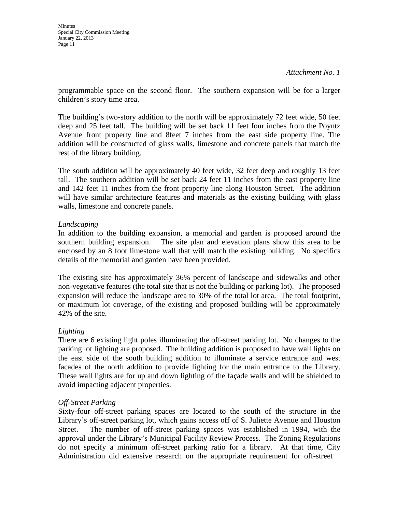programmable space on the second floor. The southern expansion will be for a larger children's story time area.

The building's two-story addition to the north will be approximately 72 feet wide, 50 feet deep and 25 feet tall. The building will be set back 11 feet four inches from the Poyntz Avenue front property line and 8feet 7 inches from the east side property line. The addition will be constructed of glass walls, limestone and concrete panels that match the rest of the library building.

The south addition will be approximately 40 feet wide, 32 feet deep and roughly 13 feet tall. The southern addition will be set back 24 feet 11 inches from the east property line and 142 feet 11 inches from the front property line along Houston Street. The addition will have similar architecture features and materials as the existing building with glass walls, limestone and concrete panels.

# *Landscaping*

In addition to the building expansion, a memorial and garden is proposed around the southern building expansion. The site plan and elevation plans show this area to be enclosed by an 8 foot limestone wall that will match the existing building. No specifics details of the memorial and garden have been provided.

The existing site has approximately 36% percent of landscape and sidewalks and other non-vegetative features (the total site that is not the building or parking lot). The proposed expansion will reduce the landscape area to 30% of the total lot area. The total footprint, or maximum lot coverage, of the existing and proposed building will be approximately 42% of the site.

# *Lighting*

There are 6 existing light poles illuminating the off-street parking lot. No changes to the parking lot lighting are proposed. The building addition is proposed to have wall lights on the east side of the south building addition to illuminate a service entrance and west facades of the north addition to provide lighting for the main entrance to the Library. These wall lights are for up and down lighting of the façade walls and will be shielded to avoid impacting adjacent properties.

# *Off-Street Parking*

Sixty-four off-street parking spaces are located to the south of the structure in the Library's off-street parking lot, which gains access off of S. Juliette Avenue and Houston Street. The number of off-street parking spaces was established in 1994, with the approval under the Library's Municipal Facility Review Process. The Zoning Regulations do not specify a minimum off-street parking ratio for a library. At that time, City Administration did extensive research on the appropriate requirement for off-street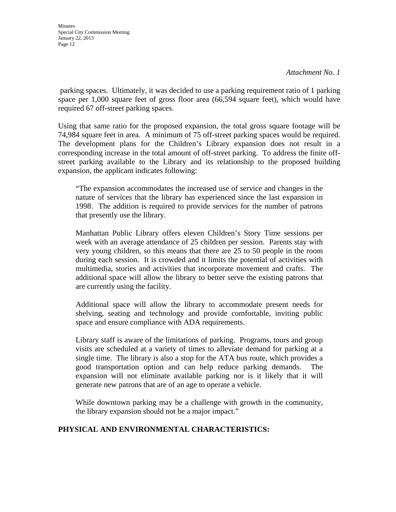parking spaces. Ultimately, it was decided to use a parking requirement ratio of 1 parking space per 1,000 square feet of gross floor area (66,594 square feet), which would have required 67 off-street parking spaces.

Using that same ratio for the proposed expansion, the total gross square footage will be 74,984 square feet in area. A minimum of 75 off-street parking spaces would be required. The development plans for the Children's Library expansion does not result in a corresponding increase in the total amount of off-street parking. To address the finite offstreet parking available to the Library and its relationship to the proposed building expansion, the applicant indicates following:

"The expansion accommodates the increased use of service and changes in the nature of services that the library has experienced since the last expansion in 1998. The addition is required to provide services for the number of patrons that presently use the library.

Manhattan Public Library offers eleven Children's Story Time sessions per week with an average attendance of 25 children per session. Parents stay with very young children, so this means that there are 25 to 50 people in the room during each session. It is crowded and it limits the potential of activities with multimedia, stories and activities that incorporate movement and crafts. The additional space will allow the library to better serve the existing patrons that are currently using the facility.

Additional space will allow the library to accommodate present needs for shelving, seating and technology and provide comfortable, inviting public space and ensure compliance with ADA requirements.

Library staff is aware of the limitations of parking. Programs, tours and group visits are scheduled at a variety of times to alleviate demand for parking at a single time. The library is also a stop for the ATA bus route, which provides a good transportation option and can help reduce parking demands. expansion will not eliminate available parking nor is it likely that it will generate new patrons that are of an age to operate a vehicle.

While downtown parking may be a challenge with growth in the community, the library expansion should not be a major impact."

# **PHYSICAL AND ENVIRONMENTAL CHARACTERISTICS:**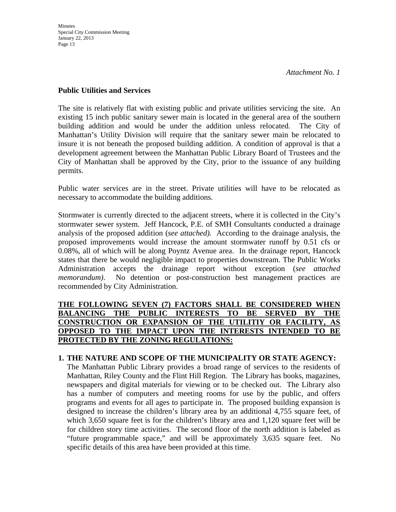# **Public Utilities and Services**

The site is relatively flat with existing public and private utilities servicing the site. An existing 15 inch public sanitary sewer main is located in the general area of the southern building addition and would be under the addition unless relocated. The City of Manhattan's Utility Division will require that the sanitary sewer main be relocated to insure it is not beneath the proposed building addition. A condition of approval is that a development agreement between the Manhattan Public Library Board of Trustees and the City of Manhattan shall be approved by the City, prior to the issuance of any building permits.

Public water services are in the street. Private utilities will have to be relocated as necessary to accommodate the building additions.

Stormwater is currently directed to the adjacent streets, where it is collected in the City's stormwater sewer system. Jeff Hancock, P.E. of SMH Consultants conducted a drainage analysis of the proposed addition (*see attached).* According to the drainage analysis, the proposed improvements would increase the amount stormwater runoff by 0.51 cfs or 0.08%, all of which will be along Poyntz Avenue area. In the drainage report, Hancock states that there be would negligible impact to properties downstream. The Public Works Administration accepts the drainage report without exception (*see attached memorandum)*. No detention or post-construction best management practices are recommended by City Administration.

# **THE FOLLOWING SEVEN (7) FACTORS SHALL BE CONSIDERED WHEN BALANCING THE PUBLIC INTERESTS TO BE SERVED BY THE CONSTRUCTION OR EXPANSION OF THE UTILITIY OR FACILITY, AS OPPOSED TO THE IMPACT UPON THE INTERESTS INTENDED TO BE PROTECTED BY THE ZONING REGULATIONS:**

# **1. THE NATURE AND SCOPE OF THE MUNICIPALITY OR STATE AGENCY:**

The Manhattan Public Library provides a broad range of services to the residents of Manhattan, Riley County and the Flint Hill Region. The Library has books, magazines, newspapers and digital materials for viewing or to be checked out. The Library also has a number of computers and meeting rooms for use by the public, and offers programs and events for all ages to participate in. The proposed building expansion is designed to increase the children's library area by an additional 4,755 square feet, of which 3,650 square feet is for the children's library area and 1,120 square feet will be for children story time activities. The second floor of the north addition is labeled as "future programmable space," and will be approximately 3,635 square feet. No specific details of this area have been provided at this time.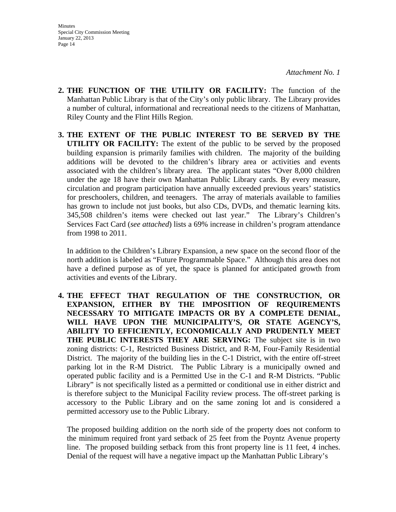- **2. THE FUNCTION OF THE UTILITY OR FACILITY:** The function of the Manhattan Public Library is that of the City's only public library. The Library provides a number of cultural, informational and recreational needs to the citizens of Manhattan, Riley County and the Flint Hills Region.
- **3. THE EXTENT OF THE PUBLIC INTEREST TO BE SERVED BY THE UTILITY OR FACILITY:** The extent of the public to be served by the proposed building expansion is primarily families with children. The majority of the building additions will be devoted to the children's library area or activities and events associated with the children's library area. The applicant states "Over 8,000 children under the age 18 have their own Manhattan Public Library cards. By every measure, circulation and program participation have annually exceeded previous years' statistics for preschoolers, children, and teenagers. The array of materials available to families has grown to include not just books, but also CDs, DVDs, and thematic learning kits. 345,508 children's items were checked out last year." The Library's Children's Services Fact Card (*see attached*) lists a 69% increase in children's program attendance from 1998 to 2011.

In addition to the Children's Library Expansion, a new space on the second floor of the north addition is labeled as "Future Programmable Space." Although this area does not have a defined purpose as of yet, the space is planned for anticipated growth from activities and events of the Library.

**4. THE EFFECT THAT REGULATION OF THE CONSTRUCTION, OR EXPANSION, EITHER BY THE IMPOSITION OF REQUIREMENTS NECESSARY TO MITIGATE IMPACTS OR BY A COMPLETE DENIAL, WILL HAVE UPON THE MUNICIPALITY'S, OR STATE AGENCY'S, ABILITY TO EFFICIENTLY, ECONOMICALLY AND PRUDENTLY MEET THE PUBLIC INTERESTS THEY ARE SERVING:** The subject site is in two zoning districts: C-1, Restricted Business District, and R-M, Four-Family Residential District. The majority of the building lies in the C-1 District, with the entire off-street parking lot in the R-M District. The Public Library is a municipally owned and operated public facility and is a Permitted Use in the C-1 and R-M Districts. "Public Library" is not specifically listed as a permitted or conditional use in either district and is therefore subject to the Municipal Facility review process. The off-street parking is accessory to the Public Library and on the same zoning lot and is considered a permitted accessory use to the Public Library.

The proposed building addition on the north side of the property does not conform to the minimum required front yard setback of 25 feet from the Poyntz Avenue property line. The proposed building setback from this front property line is 11 feet, 4 inches. Denial of the request will have a negative impact up the Manhattan Public Library's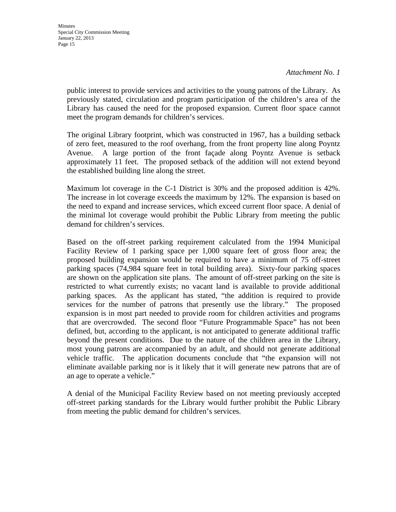public interest to provide services and activities to the young patrons of the Library. As previously stated, circulation and program participation of the children's area of the Library has caused the need for the proposed expansion. Current floor space cannot meet the program demands for children's services.

The original Library footprint, which was constructed in 1967, has a building setback of zero feet, measured to the roof overhang, from the front property line along Poyntz Avenue. A large portion of the front façade along Poyntz Avenue is setback approximately 11 feet. The proposed setback of the addition will not extend beyond the established building line along the street.

Maximum lot coverage in the C-1 District is 30% and the proposed addition is 42%. The increase in lot coverage exceeds the maximum by 12%. The expansion is based on the need to expand and increase services, which exceed current floor space. A denial of the minimal lot coverage would prohibit the Public Library from meeting the public demand for children's services.

Based on the off-street parking requirement calculated from the 1994 Municipal Facility Review of 1 parking space per 1,000 square feet of gross floor area; the proposed building expansion would be required to have a minimum of 75 off-street parking spaces (74,984 square feet in total building area). Sixty-four parking spaces are shown on the application site plans. The amount of off-street parking on the site is restricted to what currently exists; no vacant land is available to provide additional parking spaces. As the applicant has stated, "the addition is required to provide services for the number of patrons that presently use the library." The proposed expansion is in most part needed to provide room for children activities and programs that are overcrowded. The second floor "Future Programmable Space" has not been defined, but, according to the applicant, is not anticipated to generate additional traffic beyond the present conditions. Due to the nature of the children area in the Library, most young patrons are accompanied by an adult, and should not generate additional vehicle traffic. The application documents conclude that "the expansion will not eliminate available parking nor is it likely that it will generate new patrons that are of an age to operate a vehicle."

A denial of the Municipal Facility Review based on not meeting previously accepted off-street parking standards for the Library would further prohibit the Public Library from meeting the public demand for children's services.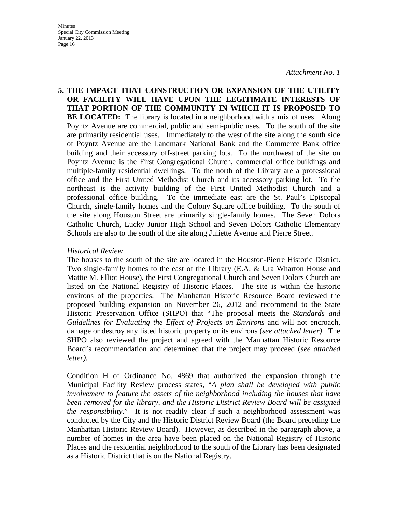**5. THE IMPACT THAT CONSTRUCTION OR EXPANSION OF THE UTILITY OR FACILITY WILL HAVE UPON THE LEGITIMATE INTERESTS OF THAT PORTION OF THE COMMUNITY IN WHICH IT IS PROPOSED TO BE LOCATED:** The library is located in a neighborhood with a mix of uses. Along Poyntz Avenue are commercial, public and semi-public uses. To the south of the site are primarily residential uses. Immediately to the west of the site along the south side of Poyntz Avenue are the Landmark National Bank and the Commerce Bank office building and their accessory off-street parking lots. To the northwest of the site on Poyntz Avenue is the First Congregational Church, commercial office buildings and multiple-family residential dwellings. To the north of the Library are a professional office and the First United Methodist Church and its accessory parking lot. To the northeast is the activity building of the First United Methodist Church and a professional office building. To the immediate east are the St. Paul's Episcopal Church, single-family homes and the Colony Square office building. To the south of the site along Houston Street are primarily single-family homes. The Seven Dolors Catholic Church, Lucky Junior High School and Seven Dolors Catholic Elementary Schools are also to the south of the site along Juliette Avenue and Pierre Street.

### *Historical Review*

The houses to the south of the site are located in the Houston-Pierre Historic District. Two single-family homes to the east of the Library (E.A. & Ura Wharton House and Mattie M. Elliot House), the First Congregational Church and Seven Dolors Church are listed on the National Registry of Historic Places. The site is within the historic environs of the properties. The Manhattan Historic Resource Board reviewed the proposed building expansion on November 26, 2012 and recommend to the State Historic Preservation Office (SHPO) that "The proposal meets the *Standards and Guidelines for Evaluating the Effect of Projects on Environs* and will not encroach, damage or destroy any listed historic property or its environs (*see attached letter)*. The SHPO also reviewed the project and agreed with the Manhattan Historic Resource Board's recommendation and determined that the project may proceed (*see attached letter).* 

Condition H of Ordinance No. 4869 that authorized the expansion through the Municipal Facility Review process states, "*A plan shall be developed with public involvement to feature the assets of the neighborhood including the houses that have been removed for the library, and the Historic District Review Board will be assigned the responsibility*." It is not readily clear if such a neighborhood assessment was conducted by the City and the Historic District Review Board (the Board preceding the Manhattan Historic Review Board). However, as described in the paragraph above, a number of homes in the area have been placed on the National Registry of Historic Places and the residential neighborhood to the south of the Library has been designated as a Historic District that is on the National Registry.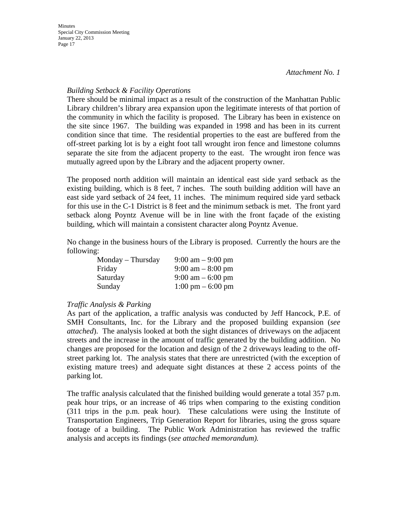# *Building Setback & Facility Operations*

There should be minimal impact as a result of the construction of the Manhattan Public Library children's library area expansion upon the legitimate interests of that portion of the community in which the facility is proposed. The Library has been in existence on the site since 1967. The building was expanded in 1998 and has been in its current condition since that time. The residential properties to the east are buffered from the off-street parking lot is by a eight foot tall wrought iron fence and limestone columns separate the site from the adjacent property to the east. The wrought iron fence was mutually agreed upon by the Library and the adjacent property owner.

The proposed north addition will maintain an identical east side yard setback as the existing building, which is 8 feet, 7 inches. The south building addition will have an east side yard setback of 24 feet, 11 inches. The minimum required side yard setback for this use in the C-1 District is 8 feet and the minimum setback is met. The front yard setback along Poyntz Avenue will be in line with the front façade of the existing building, which will maintain a consistent character along Poyntz Avenue.

No change in the business hours of the Library is proposed. Currently the hours are the following:

| $Monday$ – Thursday | $9:00 \text{ am} - 9:00 \text{ pm}$ |
|---------------------|-------------------------------------|
| Friday              | $9:00 \text{ am} - 8:00 \text{ pm}$ |
| Saturday            | $9:00 \text{ am} - 6:00 \text{ pm}$ |
| Sunday              | $1:00 \text{ pm} - 6:00 \text{ pm}$ |

# *Traffic Analysis & Parking*

As part of the application, a traffic analysis was conducted by Jeff Hancock, P.E. of SMH Consultants, Inc. for the Library and the proposed building expansion (*see attached*). The analysis looked at both the sight distances of driveways on the adjacent streets and the increase in the amount of traffic generated by the building addition. No changes are proposed for the location and design of the 2 driveways leading to the offstreet parking lot. The analysis states that there are unrestricted (with the exception of existing mature trees) and adequate sight distances at these 2 access points of the parking lot.

The traffic analysis calculated that the finished building would generate a total 357 p.m. peak hour trips, or an increase of 46 trips when comparing to the existing condition (311 trips in the p.m. peak hour). These calculations were using the Institute of Transportation Engineers, Trip Generation Report for libraries, using the gross square footage of a building. The Public Work Administration has reviewed the traffic analysis and accepts its findings (*see attached memorandum).*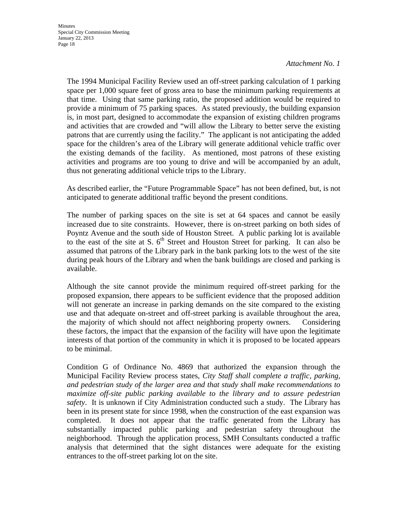The 1994 Municipal Facility Review used an off-street parking calculation of 1 parking space per 1,000 square feet of gross area to base the minimum parking requirements at that time. Using that same parking ratio, the proposed addition would be required to provide a minimum of 75 parking spaces. As stated previously, the building expansion is, in most part, designed to accommodate the expansion of existing children programs and activities that are crowded and "will allow the Library to better serve the existing patrons that are currently using the facility." The applicant is not anticipating the added space for the children's area of the Library will generate additional vehicle traffic over the existing demands of the facility. As mentioned, most patrons of these existing activities and programs are too young to drive and will be accompanied by an adult, thus not generating additional vehicle trips to the Library.

As described earlier, the "Future Programmable Space" has not been defined, but, is not anticipated to generate additional traffic beyond the present conditions.

The number of parking spaces on the site is set at 64 spaces and cannot be easily increased due to site constraints. However, there is on-street parking on both sides of Poyntz Avenue and the south side of Houston Street. A public parking lot is available to the east of the site at S.  $6<sup>th</sup>$  Street and Houston Street for parking. It can also be assumed that patrons of the Library park in the bank parking lots to the west of the site during peak hours of the Library and when the bank buildings are closed and parking is available.

Although the site cannot provide the minimum required off-street parking for the proposed expansion, there appears to be sufficient evidence that the proposed addition will not generate an increase in parking demands on the site compared to the existing use and that adequate on-street and off-street parking is available throughout the area, the majority of which should not affect neighboring property owners. Considering these factors, the impact that the expansion of the facility will have upon the legitimate interests of that portion of the community in which it is proposed to be located appears to be minimal.

Condition G of Ordinance No. 4869 that authorized the expansion through the Municipal Facility Review process states, *City Staff shall complete a traffic, parking, and pedestrian study of the larger area and that study shall make recommendations to maximize off-site public parking available to the library and to assure pedestrian safety*. It is unknown if City Administration conducted such a study. The Library has been in its present state for since 1998, when the construction of the east expansion was completed. It does not appear that the traffic generated from the Library has substantially impacted public parking and pedestrian safety throughout the neighborhood. Through the application process, SMH Consultants conducted a traffic analysis that determined that the sight distances were adequate for the existing entrances to the off-street parking lot on the site.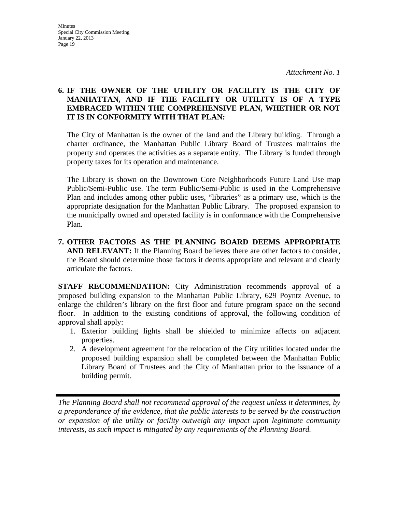# **6. IF THE OWNER OF THE UTILITY OR FACILITY IS THE CITY OF MANHATTAN, AND IF THE FACILITY OR UTILITY IS OF A TYPE EMBRACED WITHIN THE COMPREHENSIVE PLAN, WHETHER OR NOT IT IS IN CONFORMITY WITH THAT PLAN:**

The City of Manhattan is the owner of the land and the Library building. Through a charter ordinance, the Manhattan Public Library Board of Trustees maintains the property and operates the activities as a separate entity. The Library is funded through property taxes for its operation and maintenance.

 The Library is shown on the Downtown Core Neighborhoods Future Land Use map Public/Semi-Public use. The term Public/Semi-Public is used in the Comprehensive Plan and includes among other public uses, "libraries" as a primary use, which is the appropriate designation for the Manhattan Public Library. The proposed expansion to the municipally owned and operated facility is in conformance with the Comprehensive Plan.

**7. OTHER FACTORS AS THE PLANNING BOARD DEEMS APPROPRIATE AND RELEVANT:** If the Planning Board believes there are other factors to consider, the Board should determine those factors it deems appropriate and relevant and clearly articulate the factors.

**STAFF RECOMMENDATION:** City Administration recommends approval of a proposed building expansion to the Manhattan Public Library, 629 Poyntz Avenue, to enlarge the children's library on the first floor and future program space on the second floor. In addition to the existing conditions of approval, the following condition of approval shall apply:

- 1. Exterior building lights shall be shielded to minimize affects on adjacent properties.
- 2. A development agreement for the relocation of the City utilities located under the proposed building expansion shall be completed between the Manhattan Public Library Board of Trustees and the City of Manhattan prior to the issuance of a building permit.

*The Planning Board shall not recommend approval of the request unless it determines, by a preponderance of the evidence, that the public interests to be served by the construction or expansion of the utility or facility outweigh any impact upon legitimate community interests, as such impact is mitigated by any requirements of the Planning Board.*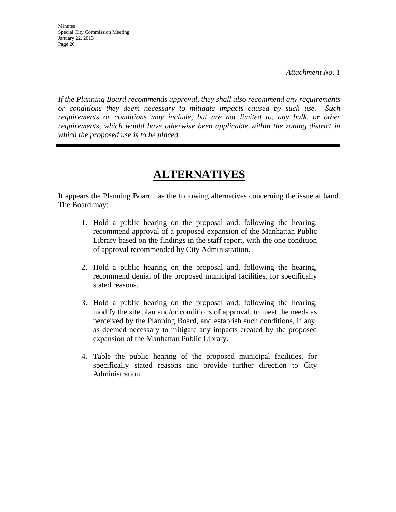*If the Planning Board recommends approval, they shall also recommend any requirements or conditions they deem necessary to mitigate impacts caused by such use. Such requirements or conditions may include, but are not limited to, any bulk, or other requirements, which would have otherwise been applicable within the zoning district in which the proposed use is to be placed.* 

# **ALTERNATIVES**

It appears the Planning Board has the following alternatives concerning the issue at hand. The Board may:

- 1. Hold a public hearing on the proposal and, following the hearing, recommend approval of a proposed expansion of the Manhattan Public Library based on the findings in the staff report, with the one condition of approval recommended by City Administration.
- 2. Hold a public hearing on the proposal and, following the hearing, recommend denial of the proposed municipal facilities, for specifically stated reasons.
- 3. Hold a public hearing on the proposal and, following the hearing, modify the site plan and/or conditions of approval, to meet the needs as perceived by the Planning Board, and establish such conditions, if any, as deemed necessary to mitigate any impacts created by the proposed expansion of the Manhattan Public Library.
- 4. Table the public hearing of the proposed municipal facilities, for specifically stated reasons and provide further direction to City Administration.